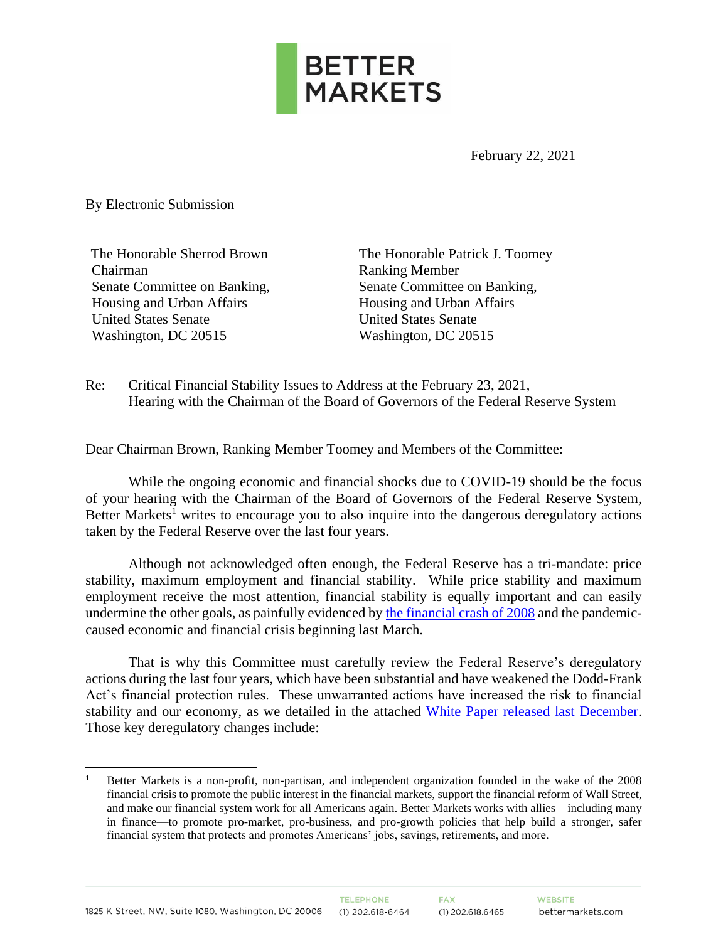

February 22, 2021

By Electronic Submission

The Honorable Sherrod Brown Chairman Senate Committee on Banking, Housing and Urban Affairs United States Senate Washington, DC 20515

The Honorable Patrick J. Toomey Ranking Member Senate Committee on Banking, Housing and Urban Affairs United States Senate Washington, DC 20515

Re: Critical Financial Stability Issues to Address at the February 23, 2021, Hearing with the Chairman of the Board of Governors of the Federal Reserve System

Dear Chairman Brown, Ranking Member Toomey and Members of the Committee:

While the ongoing economic and financial shocks due to COVID-19 should be the focus of your hearing with the Chairman of the Board of Governors of the Federal Reserve System, Better Markets<sup>1</sup> writes to encourage you to also inquire into the dangerous deregulatory actions taken by the Federal Reserve over the last four years.

Although not acknowledged often enough, the Federal Reserve has a tri-mandate: price stability, maximum employment and financial stability. While price stability and maximum employment receive the most attention, financial stability is equally important and can easily undermine the other goals, as painfully evidenced by [the financial crash of 2008](https://bettermarkets.com/sites/default/files/Better%20Markets%20-%20Cost%20of%20the%20Crisis.pdf) and the pandemiccaused economic and financial crisis beginning last March.

That is why this Committee must carefully review the Federal Reserve's deregulatory actions during the last four years, which have been substantial and have weakened the Dodd-Frank Act's financial protection rules. These unwarranted actions have increased the risk to financial stability and our economy, as we detailed in the attached [White Paper released last December.](https://bettermarkets.com/sites/default/files/Better_Markets_WhitePaper_Fed_Actions_Under_Trump_Administration_12-03-2020.pdf) Those key deregulatory changes include:

<sup>1</sup> Better Markets is a non-profit, non-partisan, and independent organization founded in the wake of the 2008 financial crisis to promote the public interest in the financial markets, support the financial reform of Wall Street, and make our financial system work for all Americans again. Better Markets works with allies—including many in finance—to promote pro-market, pro-business, and pro-growth policies that help build a stronger, safer financial system that protects and promotes Americans' jobs, savings, retirements, and more.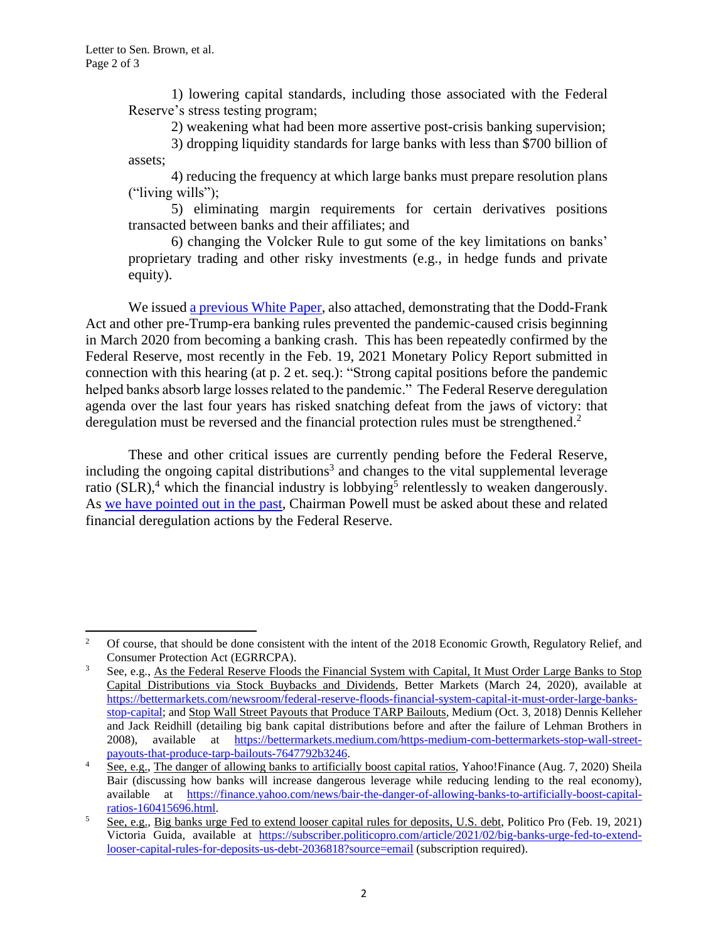1) lowering capital standards, including those associated with the Federal Reserve's stress testing program;

2) weakening what had been more assertive post-crisis banking supervision;

3) dropping liquidity standards for large banks with less than \$700 billion of assets;

4) reducing the frequency at which large banks must prepare resolution plans ("living wills");

5) eliminating margin requirements for certain derivatives positions transacted between banks and their affiliates; and

6) changing the Volcker Rule to gut some of the key limitations on banks' proprietary trading and other risky investments (e.g., in hedge funds and private equity).

We issue[d a previous White Paper,](https://bettermarkets.com/sites/default/files/Better_Markets_White_Paper_Dodd-Frank_Banking_Reforms.pdf) also attached, demonstrating that the Dodd-Frank Act and other pre-Trump-era banking rules prevented the pandemic-caused crisis beginning in March 2020 from becoming a banking crash. This has been repeatedly confirmed by the Federal Reserve, most recently in the Feb. 19, 2021 Monetary Policy Report submitted in connection with this hearing (at p. 2 et. seq.): "Strong capital positions before the pandemic helped banks absorb large losses related to the pandemic." The Federal Reserve deregulation agenda over the last four years has risked snatching defeat from the jaws of victory: that deregulation must be reversed and the financial protection rules must be strengthened.<sup>2</sup>

These and other critical issues are currently pending before the Federal Reserve, including the ongoing capital distributions<sup>3</sup> and changes to the vital supplemental leverage ratio  $(SLR)$ ,<sup>4</sup> which the financial industry is lobbying<sup>5</sup> relentlessly to weaken dangerously. As [we have pointed out in the past,](https://bettermarkets.com/sites/default/files/Ltr_Fed_Leverage_Ratio_8-4-2020_.pdf) Chairman Powell must be asked about these and related financial deregulation actions by the Federal Reserve.

<sup>&</sup>lt;sup>2</sup> Of course, that should be done consistent with the intent of the 2018 Economic Growth, Regulatory Relief, and Consumer Protection Act (EGRRCPA).

<sup>&</sup>lt;sup>3</sup> See, e.g., As the Federal Reserve Floods the Financial System with Capital, It Must Order Large Banks to Stop Capital Distributions via Stock Buybacks and Dividends, Better Markets (March 24, 2020), available at [https://bettermarkets.com/newsroom/federal-reserve-floods-financial-system-capital-it-must-order-large-banks](https://bettermarkets.com/newsroom/federal-reserve-floods-financial-system-capital-it-must-order-large-banks-stop-capital)[stop-capital;](https://bettermarkets.com/newsroom/federal-reserve-floods-financial-system-capital-it-must-order-large-banks-stop-capital) and Stop Wall Street Payouts that Produce TARP Bailouts, Medium (Oct. 3, 2018) Dennis Kelleher and Jack Reidhill (detailing big bank capital distributions before and after the failure of Lehman Brothers in 2008), available at [https://bettermarkets.medium.com/https-medium-com-bettermarkets-stop-wall-street](https://bettermarkets.medium.com/https-medium-com-bettermarkets-stop-wall-street-payouts-that-produce-tarp-bailouts-7647792b3246)[payouts-that-produce-tarp-bailouts-7647792b3246.](https://bettermarkets.medium.com/https-medium-com-bettermarkets-stop-wall-street-payouts-that-produce-tarp-bailouts-7647792b3246)

<sup>&</sup>lt;sup>4</sup> See, e.g., The danger of allowing banks to artificially boost capital ratios, Yahoo!Finance (Aug. 7, 2020) Sheila Bair (discussing how banks will increase dangerous leverage while reducing lending to the real economy), available at [https://finance.yahoo.com/news/bair-the-danger-of-allowing-banks-to-artificially-boost-capital](https://finance.yahoo.com/news/bair-the-danger-of-allowing-banks-to-artificially-boost-capital-ratios-160415696.html)[ratios-160415696.html.](https://finance.yahoo.com/news/bair-the-danger-of-allowing-banks-to-artificially-boost-capital-ratios-160415696.html) 

 $\frac{5}{\text{See, e.g., Big banks urge Fed to extend looser capital rules for deposits, U.S. debt, Politics Pro (Feb. 19, 2021)}$ Victoria Guida, available at [https://subscriber.politicopro.com/article/2021/02/big-banks-urge-fed-to-extend](https://subscriber.politicopro.com/article/2021/02/big-banks-urge-fed-to-extend-looser-capital-rules-for-deposits-us-debt-2036818?source=email)[looser-capital-rules-for-deposits-us-debt-2036818?source=email](https://subscriber.politicopro.com/article/2021/02/big-banks-urge-fed-to-extend-looser-capital-rules-for-deposits-us-debt-2036818?source=email) (subscription required).